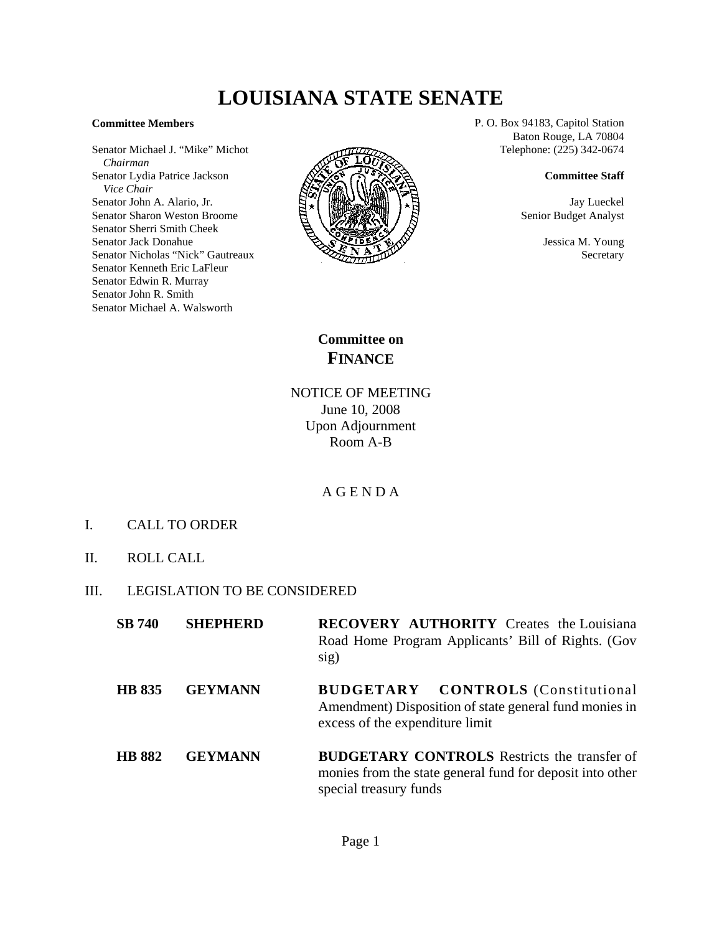## **LOUISIANA STATE SENATE**

## **Committee Members**

Senator Michael J. "Mike" Michot  *Chairman* Senator Lydia Patrice Jackson  *Vice Chair* Senator John A. Alario, Jr. Senator Sharon Weston Broome Senator Sherri Smith Cheek Senator Jack Donahue Senator Nicholas "Nick" Gautreaux Senator Kenneth Eric LaFleur Senator Edwin R. Murray Senator John R. Smith Senator Michael A. Walsworth



P. O. Box 94183, Capitol Station Baton Rouge, LA 70804 Telephone: (225) 342-0674

## **Committee Staff**

Jay Lueckel Senior Budget Analyst

> Jessica M. Young **Secretary**

**Committee on FINANCE**

NOTICE OF MEETING June 10, 2008 Upon Adjournment Room A-B

## A G E N D A

- I. CALL TO ORDER
- II. ROLL CALL
- III. LEGISLATION TO BE CONSIDERED

| <b>SB</b> 740 | <b>SHEPHERD</b> | <b>RECOVERY AUTHORITY</b> Creates the Louisiana                                                      |
|---------------|-----------------|------------------------------------------------------------------------------------------------------|
|               |                 | Road Home Program Applicants' Bill of Rights. (Gov<br>sig)                                           |
| <b>HD 025</b> | <i>CEVMANN</i>  | CONTROLS (Constitutional<br>$\mathbf{D}$ in $\mathbf{C}$ if $\mathbf{T}$ a $\mathbf{D}$ $\mathbf{V}$ |

- **HB 835 GEYMANN BUDGETARY CONTROLS** (Constitutional Amendment) Disposition of state general fund monies in excess of the expenditure limit
- **HB 882 GEYMANN BUDGETARY CONTROLS** Restricts the transfer of monies from the state general fund for deposit into other special treasury funds